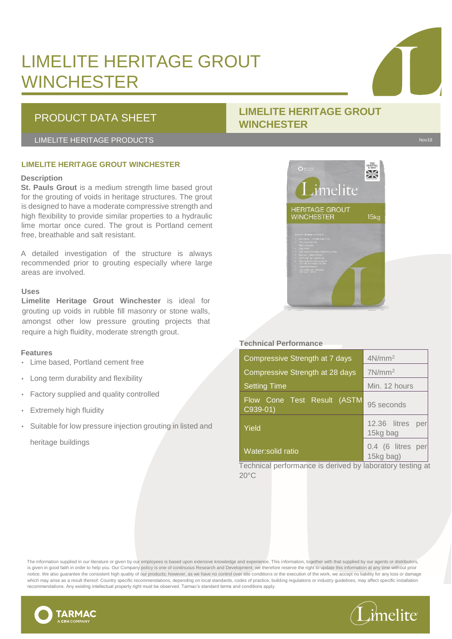### LIMELITE HERITAGE GROUT **WINCHESTER**

### PRODUCT DATA SHEET **LIMELITE HERITAGE GROUT WINCHESTER**

LIMELITE HERITAGE PRODUCTS Novel and the set of the set of the set of the set of the set of the set of the set o

### **LIMELITE HERITAGE GROUT WINCHESTER**

### **Description**

**St. Pauls Grout** is a medium strength lime based grout for the grouting of voids in heritage structures. The grout is designed to have a moderate compressive strength and high flexibility to provide similar properties to a hydraulic lime mortar once cured. The grout is Portland cement free, breathable and salt resistant.

A detailed investigation of the structure is always recommended prior to grouting especially where large areas are involved.

### **Uses**

**Limelite Heritage Grout Winchester** is ideal for grouting up voids in rubble fill masonry or stone walls, amongst other low pressure grouting projects that require a high fluidity, moderate strength grout.

### **Features**

- Lime based, Portland cement free
- Long term durability and flexibility
- Factory supplied and quality controlled
- **Extremely high fluidity**
- Suitable for low pressure injection grouting in listed and heritage buildings

# imelite HERITAGE GROUT<br>WINCHESTER  $15<sub>kg</sub>$

### **Technical Performance**

| Compressive Strength at 7 days          | $4N/mm^2$                       |
|-----------------------------------------|---------------------------------|
| Compressive Strength at 28 days         | $7N/mm^2$                       |
| <b>Setting Time</b>                     | Min. 12 hours                   |
| Flow Cone Test Result (ASTM<br>C939-01) | 95 seconds                      |
| Yield                                   | 12.36 litres<br>per<br>15kg bag |
| Water:solid ratio                       | 0.4 (6 litres per<br>15kg bag)  |

Technical performance is derived by laboratory testing at  $20^{\circ}$ C

The information supplied in our literature or given by our employees is based upon extensive knowledge and experience. This information, together with that supplied by our agents or distributors, is given in good faith in order to help you. Our Company policy is one of continuous Research and Development; we therefore reserve the right to update this information at any time without prior notice. We also guarantee the consistent high quality of our products; however, as we have no control over site conditions or the execution of the work, we accept no liability for any loss or damage which may arise as a result thereof. Country specific recommendations, depending on local standards, codes of practice, building regulations or industry guidelines, may affect specific installation recommendations. Any existing intellectual property right must be observed. Tarmac's standard terms and conditions apply.